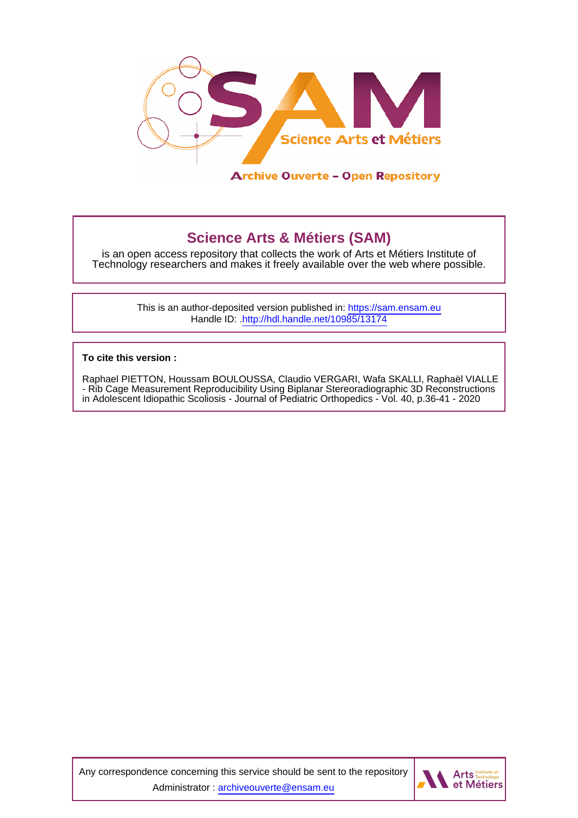

# **Science Arts & Métiers (SAM)**

is an open access repository that collects the work of Arts et Métiers Institute of Technology researchers and makes it freely available over the web where possible.

> This is an author-deposited version published in:<https://sam.ensam.eu> Handle ID: [.http://hdl.handle.net/10985/13174](http://hdl.handle.net/10985/13174)

**To cite this version :**

Raphael PIETTON, Houssam BOULOUSSA, Claudio VERGARI, Wafa SKALLI, Raphaël VIALLE - Rib Cage Measurement Reproducibility Using Biplanar Stereoradiographic 3D Reconstructions in Adolescent Idiopathic Scoliosis - Journal of Pediatric Orthopedics - Vol. 40, p.36-41 - 2020

Any correspondence concerning this service should be sent to the repository Administrator : [archiveouverte@ensam.eu](mailto:archiveouverte@ensam.eu)

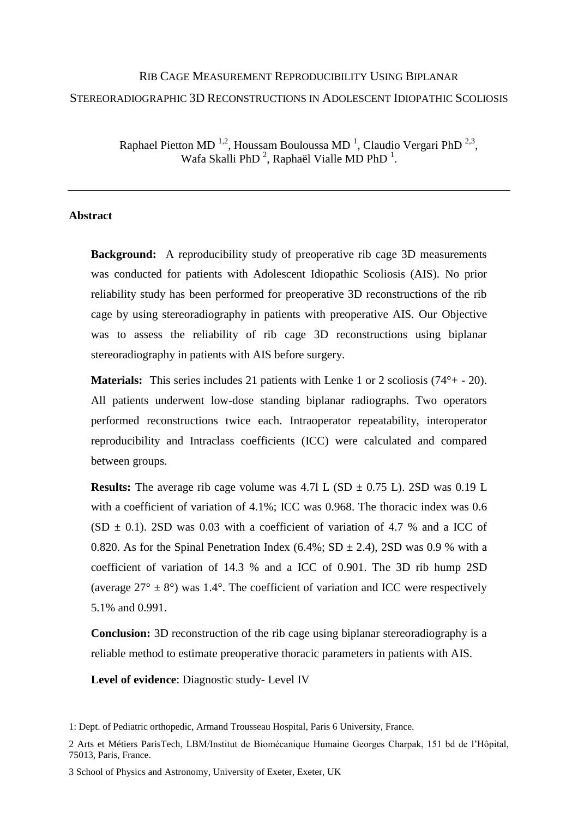# RIB CAGE MEASUREMENT REPRODUCIBILITY USING BIPLANAR STEREORADIOGRAPHIC 3D RECONSTRUCTIONS IN ADOLESCENT IDIOPATHIC SCOLIOSIS

Raphael Pietton MD  $^{1,2}$ , Houssam Bouloussa MD  $^1$ , Claudio Vergari PhD  $^{2,3}$ , Wafa Skalli PhD<sup>2</sup>, Raphaël Vialle MD PhD<sup>1</sup>.

#### **Abstract**

**Background:** A reproducibility study of preoperative rib cage 3D measurements was conducted for patients with Adolescent Idiopathic Scoliosis (AIS). No prior reliability study has been performed for preoperative 3D reconstructions of the rib cage by using stereoradiography in patients with preoperative AIS. Our Objective was to assess the reliability of rib cage 3D reconstructions using biplanar stereoradiography in patients with AIS before surgery.

**Materials:** This series includes 21 patients with Lenke 1 or 2 scoliosis (74°+ - 20). All patients underwent low-dose standing biplanar radiographs. Two operators performed reconstructions twice each. Intraoperator repeatability, interoperator reproducibility and Intraclass coefficients (ICC) were calculated and compared between groups.

**Results:** The average rib cage volume was  $4.71 \text{ L}$  (SD  $\pm$  0.75 L). 2SD was 0.19 L with a coefficient of variation of 4.1%; ICC was 0.968. The thoracic index was 0.6  $(SD \pm 0.1)$ . 2SD was 0.03 with a coefficient of variation of 4.7 % and a ICC of 0.820. As for the Spinal Penetration Index (6.4%; SD  $\pm$  2.4), 2SD was 0.9 % with a coefficient of variation of 14.3 % and a ICC of 0.901. The 3D rib hump 2SD (average  $27^{\circ} \pm 8^{\circ}$ ) was 1.4°. The coefficient of variation and ICC were respectively 5.1% and 0.991.

**Conclusion:** 3D reconstruction of the rib cage using biplanar stereoradiography is a reliable method to estimate preoperative thoracic parameters in patients with AIS.

**Level of evidence**: Diagnostic study- Level IV

<sup>1:</sup> Dept. of Pediatric orthopedic, Armand Trousseau Hospital, Paris 6 University, France.

<sup>2</sup> Arts et Métiers ParisTech, LBM/Institut de Biomécanique Humaine Georges Charpak, 151 bd de l'Hôpital, 75013, Paris, France.

<sup>3</sup> School of Physics and Astronomy, University of Exeter, Exeter, UK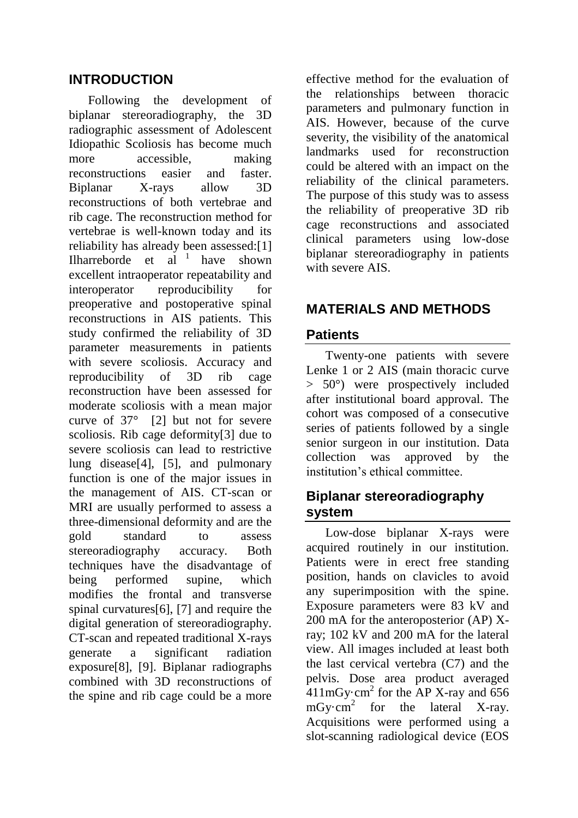### **INTRODUCTION**

Following the development of biplanar stereoradiography, the 3D radiographic assessment of Adolescent Idiopathic Scoliosis has become much more accessible, making reconstructions easier and faster. Biplanar X-rays allow 3D reconstructions of both vertebrae and rib cage. The reconstruction method for vertebrae is well-known today and its reliability has already been assessed:[1] Ilharreborde et al  $1$  have shown excellent intraoperator repeatability and interoperator reproducibility for preoperative and postoperative spinal reconstructions in AIS patients. This study confirmed the reliability of 3D parameter measurements in patients with severe scoliosis. Accuracy and reproducibility of 3D rib cage reconstruction have been assessed for moderate scoliosis with a mean major curve of  $37^\circ$  [2] but not for severe scoliosis. Rib cage deformity[3] due to severe scoliosis can lead to restrictive lung disease[4], [5], and pulmonary function is one of the major issues in the management of AIS. CT-scan or MRI are usually performed to assess a three-dimensional deformity and are the gold standard to assess stereoradiography accuracy. Both techniques have the disadvantage of being performed supine, which modifies the frontal and transverse spinal curvatures[6], [7] and require the digital generation of stereoradiography. CT-scan and repeated traditional X-rays generate a significant radiation exposure[8], [9]. Biplanar radiographs combined with 3D reconstructions of the spine and rib cage could be a more

effective method for the evaluation of the relationships between thoracic parameters and pulmonary function in AIS. However, because of the curve severity, the visibility of the anatomical landmarks used for reconstruction could be altered with an impact on the reliability of the clinical parameters. The purpose of this study was to assess the reliability of preoperative 3D rib cage reconstructions and associated clinical parameters using low-dose biplanar stereoradiography in patients with severe AIS.

# **MATERIALS AND METHODS**

#### **Patients**

Twenty-one patients with severe Lenke 1 or 2 AIS (main thoracic curve > 50°) were prospectively included after institutional board approval. The cohort was composed of a consecutive series of patients followed by a single senior surgeon in our institution. Data collection was approved by the institution's ethical committee.

# **Biplanar stereoradiography system**

Low-dose biplanar X-rays were acquired routinely in our institution. Patients were in erect free standing position, hands on clavicles to avoid any superimposition with the spine. Exposure parameters were 83 kV and 200 mA for the anteroposterior (AP) Xray; 102 kV and 200 mA for the lateral view. All images included at least both the last cervical vertebra (C7) and the pelvis. Dose area product averaged  $411 \text{mGy-cm}^2$  for the AP X-ray and 656  $mGy \cdot cm^2$  for the lateral X-ray. Acquisitions were performed using a slot-scanning radiological device (EOS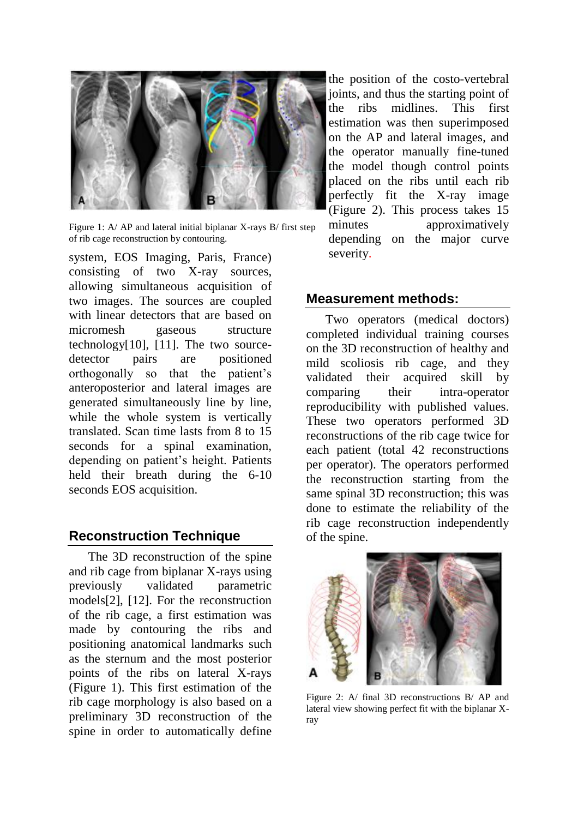

Figure 1: A/ AP and lateral initial biplanar X-rays B/ first step of rib cage reconstruction by contouring.

system, EOS Imaging, Paris, France) consisting of two X-ray sources, allowing simultaneous acquisition of two images. The sources are coupled with linear detectors that are based on micromesh gaseous structure technology[10], [11]. The two sourcedetector pairs are positioned orthogonally so that the patient's anteroposterior and lateral images are generated simultaneously line by line, while the whole system is vertically translated. Scan time lasts from 8 to 15 seconds for a spinal examination, depending on patient's height. Patients held their breath during the 6-10 seconds EOS acquisition.

#### **Reconstruction Technique**

The 3D reconstruction of the spine and rib cage from biplanar X-rays using previously validated parametric models[2], [12]. For the reconstruction of the rib cage, a first estimation was made by contouring the ribs and positioning anatomical landmarks such as the sternum and the most posterior points of the ribs on lateral X-rays (Figure 1). This first estimation of the rib cage morphology is also based on a preliminary 3D reconstruction of the spine in order to automatically define

the position of the costo-vertebral joints, and thus the starting point of the ribs midlines. This first estimation was then superimposed on the AP and lateral images, and the operator manually fine-tuned the model though control points placed on the ribs until each rib perfectly fit the X-ray image (Figure 2). This process takes 15 minutes approximatively depending on the major curve severity.

#### **Measurement methods:**

Two operators (medical doctors) completed individual training courses on the 3D reconstruction of healthy and mild scoliosis rib cage, and they validated their acquired skill by comparing their intra-operator reproducibility with published values. These two operators performed 3D reconstructions of the rib cage twice for each patient (total 42 reconstructions per operator). The operators performed the reconstruction starting from the same spinal 3D reconstruction; this was done to estimate the reliability of the rib cage reconstruction independently of the spine.



Figure 2: A/ final 3D reconstructions B/ AP and lateral view showing perfect fit with the biplanar Xray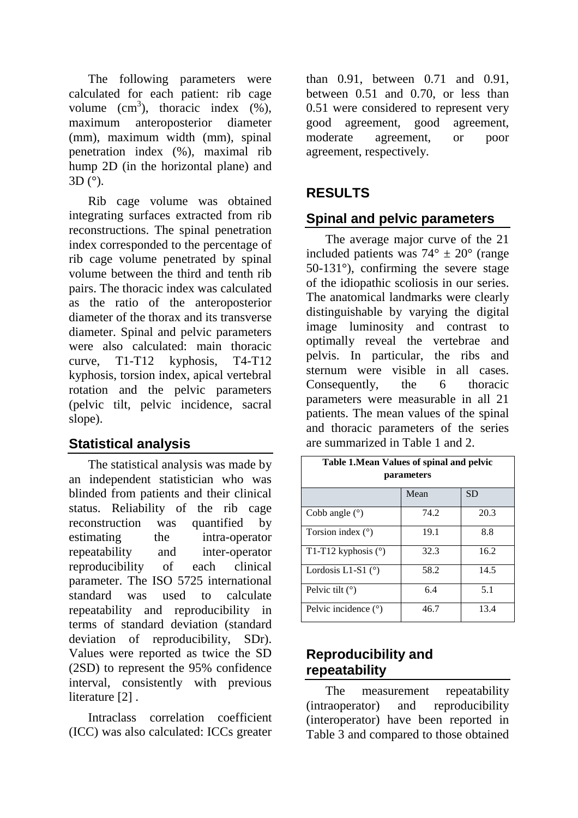The following parameters were calculated for each patient: rib cage volume  $(cm^3)$ , thoracic index  $(\%)$ , maximum anteroposterior diameter (mm), maximum width (mm), spinal penetration index (%), maximal rib hump 2D (in the horizontal plane) and 3D (°).

Rib cage volume was obtained integrating surfaces extracted from rib reconstructions. The spinal penetration index corresponded to the percentage of rib cage volume penetrated by spinal volume between the third and tenth rib pairs. The thoracic index was calculated as the ratio of the anteroposterior diameter of the thorax and its transverse diameter. Spinal and pelvic parameters were also calculated: main thoracic curve, T1-T12 kyphosis, T4-T12 kyphosis, torsion index, apical vertebral rotation and the pelvic parameters (pelvic tilt, pelvic incidence, sacral slope).

# **Statistical analysis**

The statistical analysis was made by an independent statistician who was blinded from patients and their clinical status. Reliability of the rib cage reconstruction was quantified by estimating the intra-operator repeatability and inter-operator reproducibility of each clinical parameter. The ISO 5725 international standard was used to calculate repeatability and reproducibility in terms of standard deviation (standard deviation of reproducibility, SDr). Values were reported as twice the SD (2SD) to represent the 95% confidence interval, consistently with previous literature [2].

Intraclass correlation coefficient (ICC) was also calculated: ICCs greater

than 0.91, between 0.71 and 0.91, between 0.51 and 0.70, or less than 0.51 were considered to represent very good agreement, good agreement, moderate agreement, or poor agreement, respectively.

# **RESULTS**

# **Spinal and pelvic parameters**

The average major curve of the 21 included patients was  $74^{\circ} \pm 20^{\circ}$  (range) 50-131°), confirming the severe stage of the idiopathic scoliosis in our series. The anatomical landmarks were clearly distinguishable by varying the digital image luminosity and contrast to optimally reveal the vertebrae and pelvis. In particular, the ribs and sternum were visible in all cases. Consequently, the 6 thoracic parameters were measurable in all 21 patients. The mean values of the spinal and thoracic parameters of the series are summarized in Table 1 and 2.

| Table 1. Mean Values of spinal and pelvic<br><i>parameters</i> |      |           |  |  |  |
|----------------------------------------------------------------|------|-----------|--|--|--|
|                                                                | Mean | <b>SD</b> |  |  |  |
| Cobb angle $(°)$                                               | 74.2 | 20.3      |  |  |  |
| Torsion index $(°)$                                            | 19.1 | 8.8       |  |  |  |
| T1-T12 kyphosis $(°)$                                          | 32.3 | 16.2      |  |  |  |
| Lordosis L1-S1 $(°)$                                           | 58.2 | 14.5      |  |  |  |
| Pelvic tilt $(°)$                                              | 6.4  | 5.1       |  |  |  |
| Pelvic incidence $(°)$                                         | 46.7 | 13.4      |  |  |  |

# **Reproducibility and repeatability**

The measurement repeatability (intraoperator) and reproducibility (interoperator) have been reported in Table 3 and compared to those obtained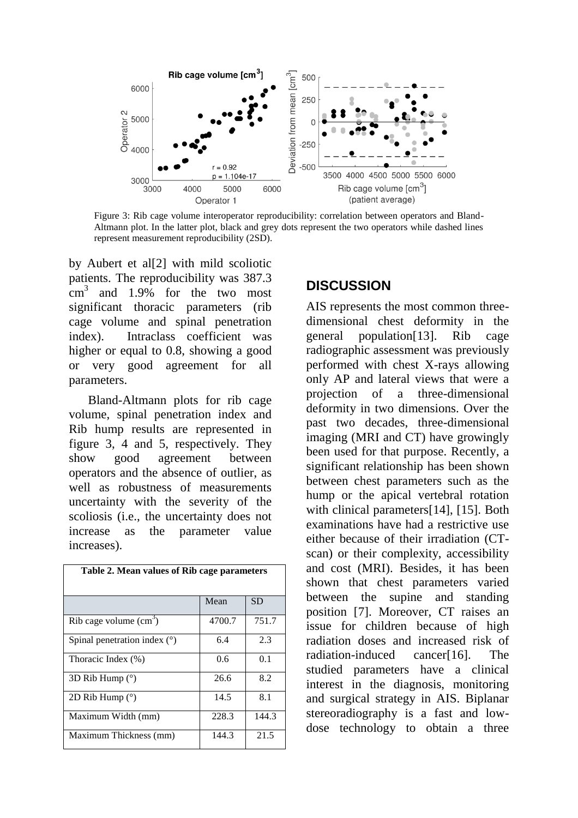

Figure 3: Rib cage volume interoperator reproducibility: correlation between operators and Bland-Altmann plot. In the latter plot, black and grey dots represent the two operators while dashed lines represent measurement reproducibility (2SD).

by Aubert et al[2] with mild scoliotic patients. The reproducibility was 387.3  $\text{cm}^3$  and 1.9% for the two most significant thoracic parameters (rib cage volume and spinal penetration index). Intraclass coefficient was higher or equal to 0.8, showing a good or very good agreement for all parameters.

Bland-Altmann plots for rib cage volume, spinal penetration index and Rib hump results are represented in figure 3, 4 and 5, respectively. They show good agreement between operators and the absence of outlier, as well as robustness of measurements uncertainty with the severity of the scoliosis (i.e., the uncertainty does not increase as the parameter value increases).

| Table 2. Mean values of Rib cage parameters |        |       |  |  |
|---------------------------------------------|--------|-------|--|--|
|                                             | Mean   | SD    |  |  |
| Rib cage volume $(cm3)$                     | 4700.7 | 751.7 |  |  |
| Spinal penetration index $(°)$              | 6.4    | 2.3   |  |  |
| Thoracic Index (%)                          | 0.6    | 0.1   |  |  |
| 3D Rib Hump $(°)$                           | 26.6   | 8.2   |  |  |
| 2D Rib Hump $(°)$                           | 14.5   | 8.1   |  |  |
| Maximum Width (mm)                          | 228.3  | 144.3 |  |  |
| Maximum Thickness (mm)                      | 144.3  | 21.5  |  |  |

# **DISCUSSION**

AIS represents the most common threedimensional chest deformity in the general population[13]. Rib cage radiographic assessment was previously performed with chest X-rays allowing only AP and lateral views that were a projection of a three-dimensional deformity in two dimensions. Over the past two decades, three-dimensional imaging (MRI and CT) have growingly been used for that purpose. Recently, a significant relationship has been shown between chest parameters such as the hump or the apical vertebral rotation with clinical parameters[14], [15]. Both examinations have had a restrictive use either because of their irradiation (CTscan) or their complexity, accessibility and cost (MRI). Besides, it has been shown that chest parameters varied between the supine and standing position [7]. Moreover, CT raises an issue for children because of high radiation doses and increased risk of radiation-induced cancer[16]. The studied parameters have a clinical interest in the diagnosis, monitoring and surgical strategy in AIS. Biplanar stereoradiography is a fast and lowdose technology to obtain a three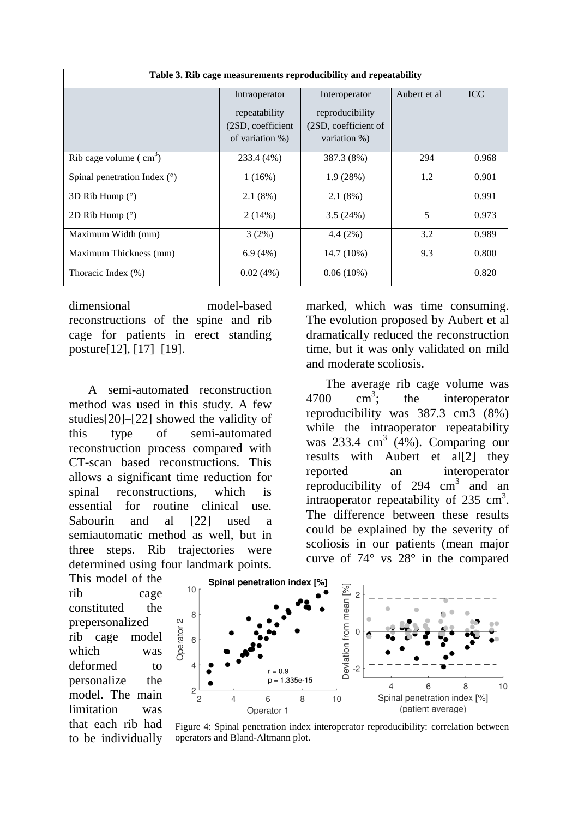| Table 3. Rib cage measurements reproducibility and repeatability |                   |                      |              |            |  |  |
|------------------------------------------------------------------|-------------------|----------------------|--------------|------------|--|--|
|                                                                  | Intraoperator     | Interoperator        | Aubert et al | <b>ICC</b> |  |  |
|                                                                  | repeatability     | reproducibility      |              |            |  |  |
|                                                                  | (2SD, coefficient | (2SD, coefficient of |              |            |  |  |
|                                                                  | of variation %)   | variation %)         |              |            |  |  |
| Rib cage volume $\text{ ( cm}^3\text{)}$                         | 233.4 (4%)        | 387.3 (8%)           | 294          | 0.968      |  |  |
| Spinal penetration Index $(°)$                                   | 1(16%)            | 1.9(28%)             | 1.2          | 0.901      |  |  |
| 3D Rib Hump (°)                                                  | 2.1(8%)           | 2.1(8%)              |              | 0.991      |  |  |
| 2D Rib Hump $(°)$                                                | 2(14%)            | 3.5(24%)             | 5            | 0.973      |  |  |
| Maximum Width (mm)                                               | 3(2%)             | 4.4(2%)              | 3.2          | 0.989      |  |  |
| Maximum Thickness (mm)                                           | 6.9(4%)           | 14.7 (10%)           | 9.3          | 0.800      |  |  |
| Thoracic Index (%)                                               | 0.02(4%)          | $0.06(10\%)$         |              | 0.820      |  |  |

dimensional model-based reconstructions of the spine and rib cage for patients in erect standing posture[12], [17]–[19].

A semi-automated reconstruction method was used in this study. A few studies[20]–[22] showed the validity of this type of semi-automated reconstruction process compared with CT-scan based reconstructions. This allows a significant time reduction for spinal reconstructions, which is essential for routine clinical use. Sabourin and al [22] used a semiautomatic method as well, but in three steps. Rib trajectories were determined using four landmark points.

marked, which was time consuming. The evolution proposed by Aubert et al dramatically reduced the reconstruction time, but it was only validated on mild and moderate scoliosis.

The average rib cage volume was  $4700 \text{ cm}^3$ ; the interoperator reproducibility was 387.3 cm3 (8%) while the intraoperator repeatability was  $233.4 \text{ cm}^3$  (4%). Comparing our results with Aubert et al[2] they reported an interoperator reproducibility of  $294 \text{ cm}^3$  and an intraoperator repeatability of  $235 \text{ cm}^3$ . The difference between these results could be explained by the severity of scoliosis in our patients (mean major curve of 74° vs 28° in the compared

This model of the rib cage constituted the prepersonalized rib cage model which was deformed to personalize the model. The main limitation was that each rib had to be individually



Figure 4: Spinal penetration index interoperator reproducibility: correlation between operators and Bland-Altmann plot.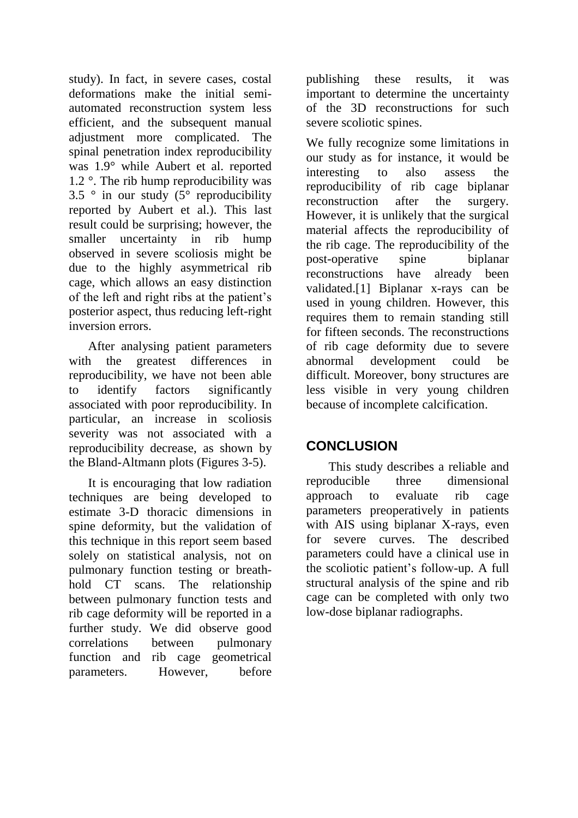study). In fact, in severe cases, costal deformations make the initial semiautomated reconstruction system less efficient, and the subsequent manual adjustment more complicated. The spinal penetration index reproducibility was 1.9° while Aubert et al. reported 1.2 °. The rib hump reproducibility was 3.5  $\degree$  in our study (5 $\degree$  reproducibility reported by Aubert et al.). This last result could be surprising; however, the smaller uncertainty in rib hump observed in severe scoliosis might be due to the highly asymmetrical rib cage, which allows an easy distinction of the left and right ribs at the patient's posterior aspect, thus reducing left-right inversion errors.

After analysing patient parameters with the greatest differences in reproducibility, we have not been able to identify factors significantly associated with poor reproducibility. In particular, an increase in scoliosis severity was not associated with a reproducibility decrease, as shown by the Bland-Altmann plots (Figures 3-5).

It is encouraging that low radiation techniques are being developed to estimate 3-D thoracic dimensions in spine deformity, but the validation of this technique in this report seem based solely on statistical analysis, not on pulmonary function testing or breathhold CT scans. The relationship between pulmonary function tests and rib cage deformity will be reported in a further study. We did observe good correlations between pulmonary function and rib cage geometrical parameters. However, before

publishing these results, it was important to determine the uncertainty of the 3D reconstructions for such severe scoliotic spines.

We fully recognize some limitations in our study as for instance, it would be interesting to also assess the reproducibility of rib cage biplanar reconstruction after the surgery. However, it is unlikely that the surgical material affects the reproducibility of the rib cage. The reproducibility of the post-operative spine biplanar reconstructions have already been validated.[1] Biplanar x-rays can be used in young children. However, this requires them to remain standing still for fifteen seconds. The reconstructions of rib cage deformity due to severe abnormal development could be difficult. Moreover, bony structures are less visible in very young children because of incomplete calcification.

# **CONCLUSION**

This study describes a reliable and reproducible three dimensional approach to evaluate rib cage parameters preoperatively in patients with AIS using biplanar X-rays, even for severe curves. The described parameters could have a clinical use in the scoliotic patient's follow-up. A full structural analysis of the spine and rib cage can be completed with only two low-dose biplanar radiographs.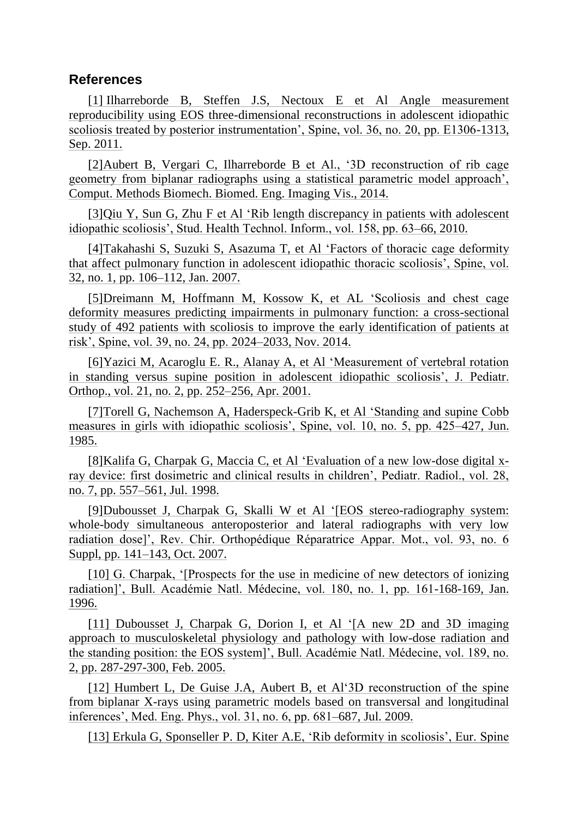#### **References**

[1] Ilharreborde B, Steffen J.S, Nectoux E et Al Angle measurement reproducibility using EOS three-dimensional reconstructions in adolescent idiopathic scoliosis treated by posterior instrumentation', Spine, vol. 36, no. 20, pp. E1306-1313, Sep. 2011.

[2] Aubert B, Vergari C, Ilharreborde B et Al., '3D reconstruction of rib cage geometry from biplanar radiographs using a statistical parametric model approach', Comput. Methods Biomech. Biomed. Eng. Imaging Vis., 2014.

[3] Qiu Y, Sun G, Zhu F et Al 'Rib length discrepancy in patients with adolescent idiopathic scoliosis', Stud. Health Technol. Inform., vol. 158, pp. 63–66, 2010.

[4] Takahashi S, Suzuki S, Asazuma T, et Al 'Factors of thoracic cage deformity that affect pulmonary function in adolescent idiopathic thoracic scoliosis', Spine, vol. 32, no. 1, pp. 106–112, Jan. 2007.

[5] Dreimann M, Hoffmann M, Kossow K, et AL 'Scoliosis and chest cage deformity measures predicting impairments in pulmonary function: a cross-sectional study of 492 patients with scoliosis to improve the early identification of patients at risk', Spine, vol. 39, no. 24, pp. 2024–2033, Nov. 2014.

[6] Yazici M, Acaroglu E. R., Alanay A, et Al 'Measurement of vertebral rotation in standing versus supine position in adolescent idiopathic scoliosis', J. Pediatr. Orthop., vol. 21, no. 2, pp. 252–256, Apr. 2001.

[7] Torell G, Nachemson A, Haderspeck-Grib K, et Al 'Standing and supine Cobb measures in girls with idiopathic scoliosis', Spine, vol. 10, no. 5, pp. 425–427, Jun. 1985.

[8] Kalifa G, Charpak G, Maccia C, et Al 'Evaluation of a new low-dose digital xray device: first dosimetric and clinical results in children', Pediatr. Radiol., vol. 28, no. 7, pp. 557–561, Jul. 1998.

[9] Dubousset J, Charpak G, Skalli W et Al '[EOS stereo-radiography system: whole-body simultaneous anteroposterior and lateral radiographs with very low radiation dose]', Rev. Chir. Orthopédique Réparatrice Appar. Mot., vol. 93, no. 6 Suppl, pp. 141–143, Oct. 2007.

[10] G. Charpak, '[Prospects for the use in medicine of new detectors of ionizing radiation]', Bull. Académie Natl. Médecine, vol. 180, no. 1, pp. 161-168-169, Jan. 1996.

[11] Dubousset J, Charpak G, Dorion I, et Al '[A new 2D and 3D imaging approach to musculoskeletal physiology and pathology with low-dose radiation and the standing position: the EOS system]', Bull. Académie Natl. Médecine, vol. 189, no. 2, pp. 287-297-300, Feb. 2005.

[12] Humbert L, De Guise J.A, Aubert B, et Al'3D reconstruction of the spine from biplanar X-rays using parametric models based on transversal and longitudinal inferences', Med. Eng. Phys., vol. 31, no. 6, pp. 681–687, Jul. 2009.

[13] Erkula G, Sponseller P. D, Kiter A.E, 'Rib deformity in scoliosis', Eur. Spine